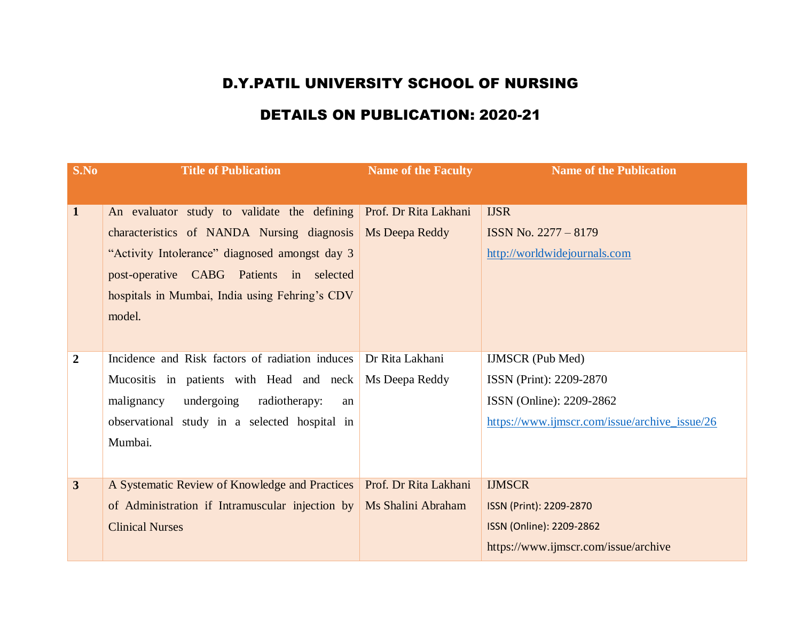## D.Y.PATIL UNIVERSITY SCHOOL OF NURSING

## DETAILS ON PUBLICATION: 2020-21

| S.No           | <b>Title of Publication</b>                             | <b>Name of the Faculty</b> | <b>Name of the Publication</b>                |
|----------------|---------------------------------------------------------|----------------------------|-----------------------------------------------|
|                |                                                         |                            |                                               |
| $\mathbf{1}$   | An evaluator study to validate the defining             | Prof. Dr Rita Lakhani      | <b>IJSR</b>                                   |
|                | characteristics of NANDA Nursing diagnosis              | Ms Deepa Reddy             | ISSN No. 2277 - 8179                          |
|                | "Activity Intolerance" diagnosed amongst day 3          |                            | http://worldwidejournals.com                  |
|                | post-operative CABG Patients in selected                |                            |                                               |
|                | hospitals in Mumbai, India using Fehring's CDV          |                            |                                               |
|                | model.                                                  |                            |                                               |
|                |                                                         |                            |                                               |
| $\overline{2}$ | Incidence and Risk factors of radiation induces         | Dr Rita Lakhani            | <b>IJMSCR</b> (Pub Med)                       |
|                | Mucositis in patients with Head and neck Ms Deepa Reddy |                            | ISSN (Print): 2209-2870                       |
|                | undergoing<br>malignancy<br>radiotherapy:<br>an         |                            | ISSN (Online): 2209-2862                      |
|                | observational study in a selected hospital in           |                            | https://www.ijmscr.com/issue/archive_issue/26 |
|                | Mumbai.                                                 |                            |                                               |
|                |                                                         |                            |                                               |
| $\overline{3}$ | A Systematic Review of Knowledge and Practices          | Prof. Dr Rita Lakhani      | <b>IJMSCR</b>                                 |
|                | of Administration if Intramuscular injection by         | Ms Shalini Abraham         | ISSN (Print): 2209-2870                       |
|                | <b>Clinical Nurses</b>                                  |                            | ISSN (Online): 2209-2862                      |
|                |                                                         |                            | https://www.ijmscr.com/issue/archive          |